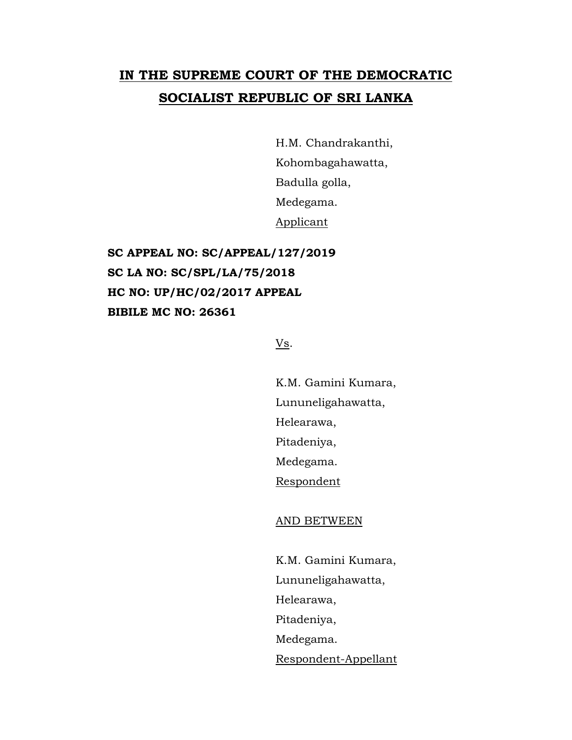## **IN THE SUPREME COURT OF THE DEMOCRATIC SOCIALIST REPUBLIC OF SRI LANKA**

H.M. Chandrakanthi, Kohombagahawatta, Badulla golla, Medegama. Applicant

**SC APPEAL NO: SC/APPEAL/127/2019 SC LA NO: SC/SPL/LA/75/2018 HC NO: UP/HC/02/2017 APPEAL BIBILE MC NO: 26361**

## Vs.

K.M. Gamini Kumara, Lununeligahawatta, Helearawa, Pitadeniya, Medegama. Respondent

## AND BETWEEN

K.M. Gamini Kumara, Lununeligahawatta, Helearawa, Pitadeniya, Medegama. Respondent-Appellant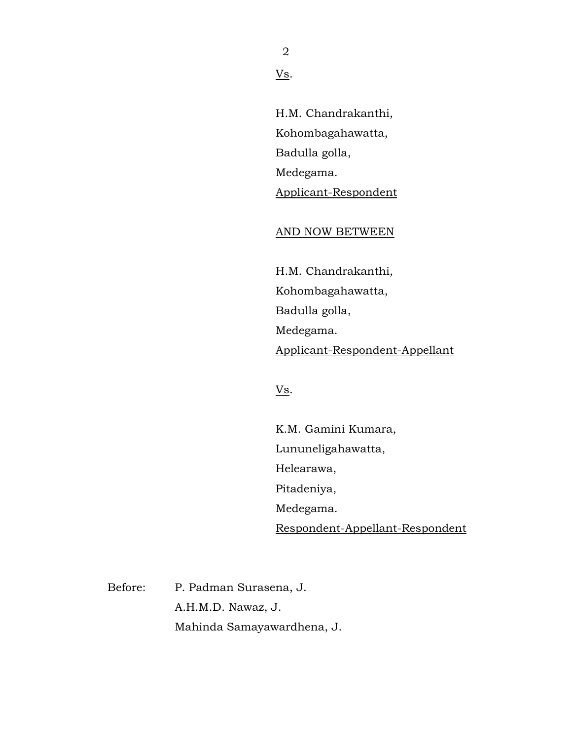2

Vs.

H.M. Chandrakanthi, Kohombagahawatta, Badulla golla, Medegama. Applicant-Respondent

AND NOW BETWEEN

H.M. Chandrakanthi, Kohombagahawatta, Badulla golla, Medegama. Applicant-Respondent-Appellant

 $Vs$ .

K.M. Gamini Kumara, Lununeligahawatta, Helearawa, Pitadeniya, Medegama. Respondent-Appellant-Respondent

Before: P. Padman Surasena, J. A.H.M.D. Nawaz, J. Mahinda Samayawardhena, J.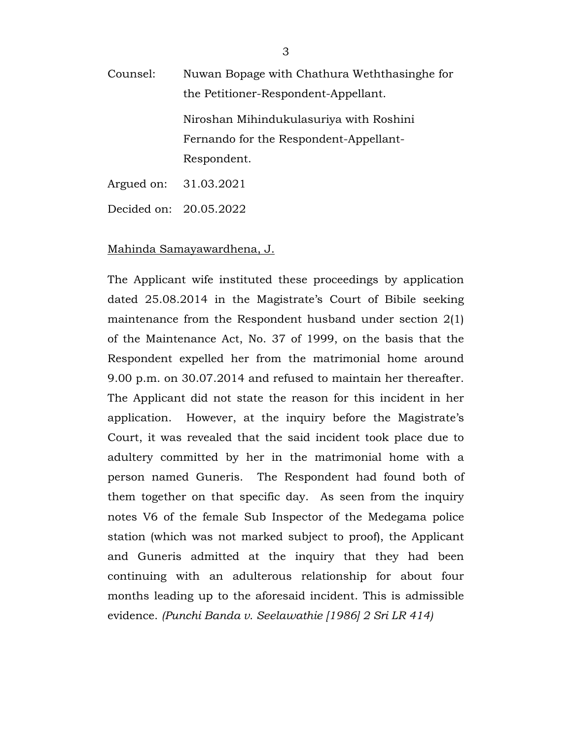Counsel: Nuwan Bopage with Chathura Weththasinghe for the Petitioner-Respondent-Appellant. Niroshan Mihindukulasuriya with Roshini Fernando for the Respondent-Appellant-Respondent. Argued on: 31.03.2021

Decided on: 20.05.2022

## Mahinda Samayawardhena, J.

The Applicant wife instituted these proceedings by application dated 25.08.2014 in the Magistrate's Court of Bibile seeking maintenance from the Respondent husband under section 2(1) of the Maintenance Act, No. 37 of 1999, on the basis that the Respondent expelled her from the matrimonial home around 9.00 p.m. on 30.07.2014 and refused to maintain her thereafter. The Applicant did not state the reason for this incident in her application. However, at the inquiry before the Magistrate's Court, it was revealed that the said incident took place due to adultery committed by her in the matrimonial home with a person named Guneris. The Respondent had found both of them together on that specific day. As seen from the inquiry notes V6 of the female Sub Inspector of the Medegama police station (which was not marked subject to proof), the Applicant and Guneris admitted at the inquiry that they had been continuing with an adulterous relationship for about four months leading up to the aforesaid incident. This is admissible evidence. *(Punchi Banda v. Seelawathie [1986] 2 Sri LR 414)*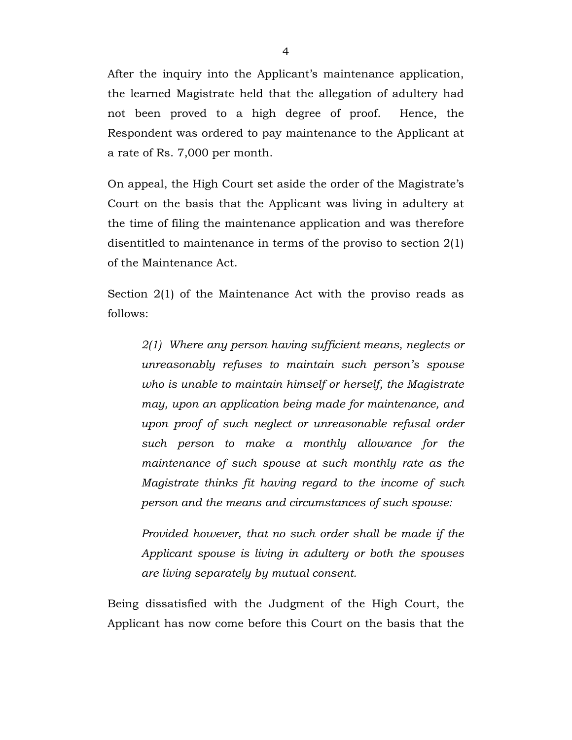After the inquiry into the Applicant's maintenance application, the learned Magistrate held that the allegation of adultery had not been proved to a high degree of proof. Hence, the Respondent was ordered to pay maintenance to the Applicant at a rate of Rs. 7,000 per month.

On appeal, the High Court set aside the order of the Magistrate's Court on the basis that the Applicant was living in adultery at the time of filing the maintenance application and was therefore disentitled to maintenance in terms of the proviso to section 2(1) of the Maintenance Act.

Section 2(1) of the Maintenance Act with the proviso reads as follows:

*2(1) Where any person having sufficient means, neglects or unreasonably refuses to maintain such person's spouse who is unable to maintain himself or herself, the Magistrate may, upon an application being made for maintenance, and upon proof of such neglect or unreasonable refusal order such person to make a monthly allowance for the maintenance of such spouse at such monthly rate as the Magistrate thinks fit having regard to the income of such person and the means and circumstances of such spouse:*

*Provided however, that no such order shall be made if the Applicant spouse is living in adultery or both the spouses are living separately by mutual consent.*

Being dissatisfied with the Judgment of the High Court, the Applicant has now come before this Court on the basis that the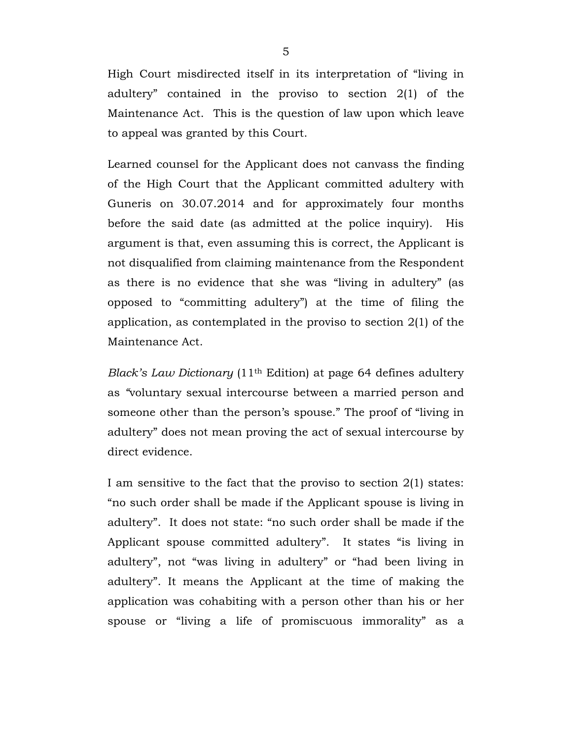High Court misdirected itself in its interpretation of "living in adultery" contained in the proviso to section 2(1) of the Maintenance Act. This is the question of law upon which leave to appeal was granted by this Court.

Learned counsel for the Applicant does not canvass the finding of the High Court that the Applicant committed adultery with Guneris on 30.07.2014 and for approximately four months before the said date (as admitted at the police inquiry). His argument is that, even assuming this is correct, the Applicant is not disqualified from claiming maintenance from the Respondent as there is no evidence that she was "living in adultery" (as opposed to "committing adultery") at the time of filing the application, as contemplated in the proviso to section 2(1) of the Maintenance Act.

*Black's Law Dictionary* (11th Edition) at page 64 defines adultery as *"*voluntary sexual intercourse between a married person and someone other than the person's spouse." The proof of "living in adultery" does not mean proving the act of sexual intercourse by direct evidence.

I am sensitive to the fact that the proviso to section 2(1) states: "no such order shall be made if the Applicant spouse is living in adultery". It does not state: "no such order shall be made if the Applicant spouse committed adultery". It states "is living in adultery", not "was living in adultery" or "had been living in adultery". It means the Applicant at the time of making the application was cohabiting with a person other than his or her spouse or "living a life of promiscuous immorality" as a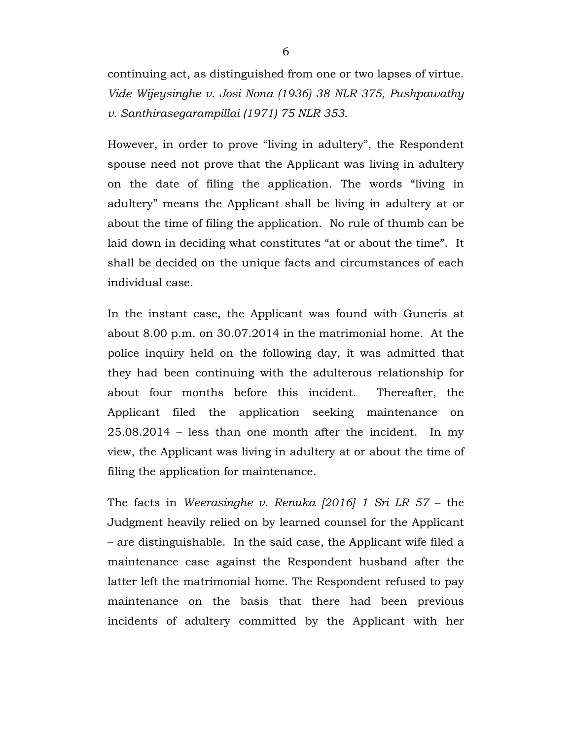continuing act, as distinguished from one or two lapses of virtue. *Vide Wijeysinghe v. Josi Nona (1936) 38 NLR 375, Pushpawathy v. Santhirasegarampillai (1971) 75 NLR 353.*

However, in order to prove "living in adultery", the Respondent spouse need not prove that the Applicant was living in adultery on the date of filing the application. The words "living in adultery" means the Applicant shall be living in adultery at or about the time of filing the application. No rule of thumb can be laid down in deciding what constitutes "at or about the time". It shall be decided on the unique facts and circumstances of each individual case.

In the instant case, the Applicant was found with Guneris at about 8.00 p.m. on 30.07.2014 in the matrimonial home. At the police inquiry held on the following day, it was admitted that they had been continuing with the adulterous relationship for about four months before this incident. Thereafter, the Applicant filed the application seeking maintenance on 25.08.2014 – less than one month after the incident. In my view, the Applicant was living in adultery at or about the time of filing the application for maintenance.

The facts in *Weerasinghe v. Renuka [2016] 1 Sri LR 57* – the Judgment heavily relied on by learned counsel for the Applicant – are distinguishable. In the said case, the Applicant wife filed a maintenance case against the Respondent husband after the latter left the matrimonial home. The Respondent refused to pay maintenance on the basis that there had been previous incidents of adultery committed by the Applicant with her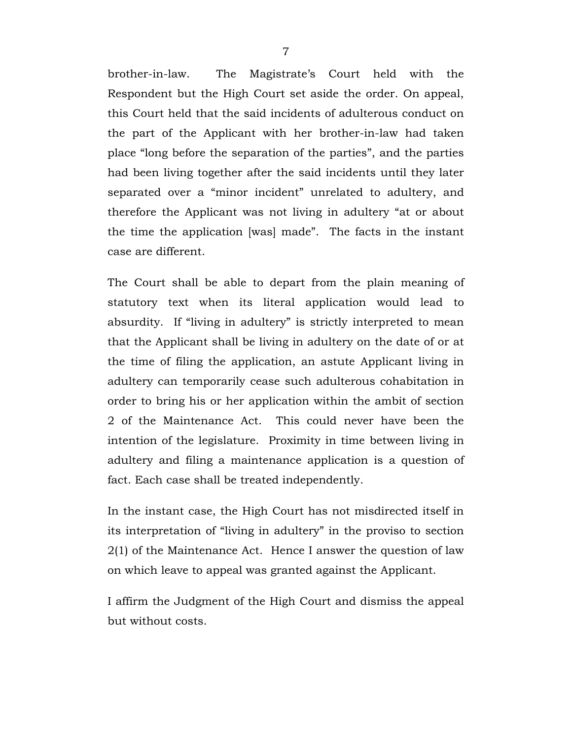brother-in-law. The Magistrate's Court held with the Respondent but the High Court set aside the order. On appeal, this Court held that the said incidents of adulterous conduct on the part of the Applicant with her brother-in-law had taken place "long before the separation of the parties", and the parties had been living together after the said incidents until they later separated over a "minor incident" unrelated to adultery, and therefore the Applicant was not living in adultery "at or about the time the application [was] made". The facts in the instant case are different.

The Court shall be able to depart from the plain meaning of statutory text when its literal application would lead to absurdity. If "living in adultery" is strictly interpreted to mean that the Applicant shall be living in adultery on the date of or at the time of filing the application, an astute Applicant living in adultery can temporarily cease such adulterous cohabitation in order to bring his or her application within the ambit of section 2 of the Maintenance Act. This could never have been the intention of the legislature. Proximity in time between living in adultery and filing a maintenance application is a question of fact. Each case shall be treated independently.

In the instant case, the High Court has not misdirected itself in its interpretation of "living in adultery" in the proviso to section 2(1) of the Maintenance Act. Hence I answer the question of law on which leave to appeal was granted against the Applicant.

I affirm the Judgment of the High Court and dismiss the appeal but without costs.